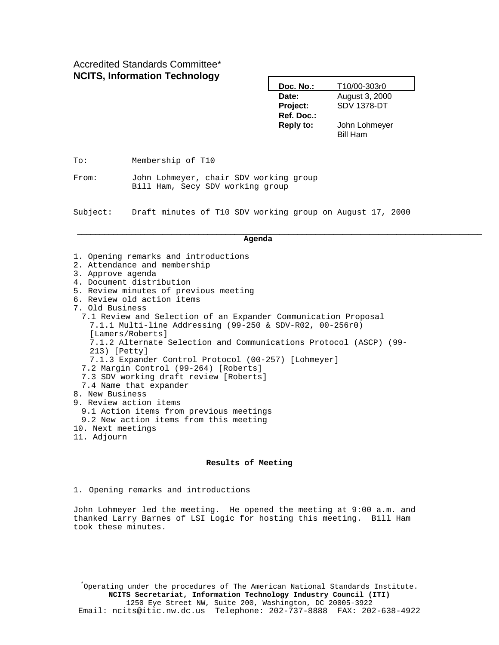Accredited Standards Committee\* **NCITS, Information Technology**

|                                                      |                                                                                                                                                                                                                                                                                                                                                                                                                                                                                                                                                                    | Date:<br>Project:              | August 3, 2000<br><b>SDV 1378-DT</b> |  |  |  |
|------------------------------------------------------|--------------------------------------------------------------------------------------------------------------------------------------------------------------------------------------------------------------------------------------------------------------------------------------------------------------------------------------------------------------------------------------------------------------------------------------------------------------------------------------------------------------------------------------------------------------------|--------------------------------|--------------------------------------|--|--|--|
|                                                      |                                                                                                                                                                                                                                                                                                                                                                                                                                                                                                                                                                    | Ref. Doc.:<br><b>Reply to:</b> | John Lohmeyer<br><b>Bill Ham</b>     |  |  |  |
| To:                                                  | Membership of T10                                                                                                                                                                                                                                                                                                                                                                                                                                                                                                                                                  |                                |                                      |  |  |  |
| From:                                                | John Lohmeyer, chair SDV working group<br>Bill Ham, Secy SDV working group                                                                                                                                                                                                                                                                                                                                                                                                                                                                                         |                                |                                      |  |  |  |
| Subject:                                             | Draft minutes of T10 SDV working group on August 17, 2000                                                                                                                                                                                                                                                                                                                                                                                                                                                                                                          |                                |                                      |  |  |  |
|                                                      |                                                                                                                                                                                                                                                                                                                                                                                                                                                                                                                                                                    | Agenda                         |                                      |  |  |  |
| 3. Approve agenda<br>7. Old Business<br>213) [Petty] | 1. Opening remarks and introductions<br>2. Attendance and membership<br>4. Document distribution<br>5. Review minutes of previous meeting<br>6. Review old action items<br>7.1 Review and Selection of an Expander Communication Proposal<br>7.1.1 Multi-line Addressing (99-250 & SDV-R02, 00-256r0)<br>[Lamers/Roberts]<br>7.1.2 Alternate Selection and Communications Protocol (ASCP) (99-<br>7.1.3 Expander Control Protocol (00-257) [Lohmeyer]<br>7.2 Margin Control (99-264) [Roberts]<br>7.3 SDV working draft review [Roberts]<br>7.4 Name that expander |                                |                                      |  |  |  |
| 8. New Business                                      |                                                                                                                                                                                                                                                                                                                                                                                                                                                                                                                                                                    |                                |                                      |  |  |  |

**Doc. No.:** T10/00-303r0

- 9. Review action items
	- 9.1 Action items from previous meetings
- 9.2 New action items from this meeting
- 10. Next meetings
- 11. Adjourn

#### **Results of Meeting**

1. Opening remarks and introductions

John Lohmeyer led the meeting. He opened the meeting at 9:00 a.m. and thanked Larry Barnes of LSI Logic for hosting this meeting. Bill Ham took these minutes.

\* Operating under the procedures of The American National Standards Institute. **NCITS Secretariat, Information Technology Industry Council (ITI)** 1250 Eye Street NW, Suite 200, Washington, DC 20005-3922 Email: ncits@itic.nw.dc.us Telephone: 202-737-8888 FAX: 202-638-4922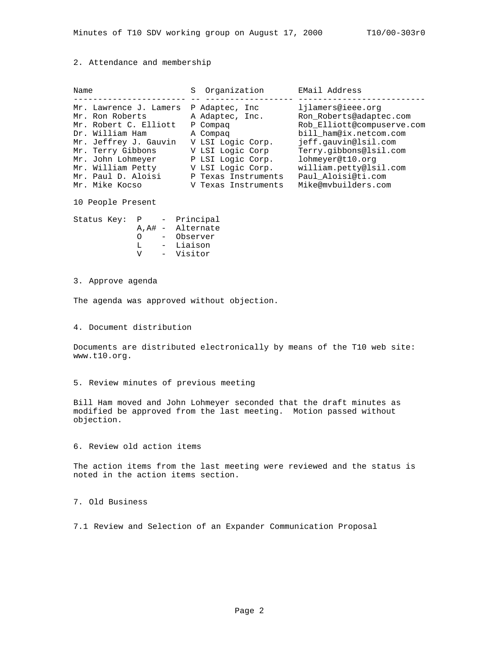### 2. Attendance and membership

| Name |                                                                                                                                                                                                     | Organization<br>S                                                                                                                                                    | EMail Address                                                                                                                                                                                                                                     |
|------|-----------------------------------------------------------------------------------------------------------------------------------------------------------------------------------------------------|----------------------------------------------------------------------------------------------------------------------------------------------------------------------|---------------------------------------------------------------------------------------------------------------------------------------------------------------------------------------------------------------------------------------------------|
|      | Mr. Lawrence J. Lamers<br>Mr. Ron Roberts<br>Mr. Robert C. Elliott<br>Dr. William Ham<br>Mr. Jeffrey J. Gauvin<br>Mr. Terry Gibbons<br>Mr. John Lohmeyer<br>Mr. William Petty<br>Mr. Paul D. Aloisi | P Adaptec, Inc.<br>A Adaptec, Inc.<br>P Compaq<br>A Compag<br>V LSI Logic Corp.<br>V LSI Logic Corp<br>P LSI Logic Corp.<br>V LSI Logic Corp.<br>P Texas Instruments | ljlamers@ieee.org<br>Ron Roberts@adaptec.com<br>Rob_Elliott@compuserve.com<br>bill_ham@ix.netcom.com<br>jeff.gauvin@lsil.com<br>Terry.gibbons@lsil.com<br>lohmeyer@t10.org<br>william.petty@lsil.com<br>Paul_Aloisi@ti.com<br>Mike@mvbuilders.com |
|      | Mr. Mike Kocso                                                                                                                                                                                      | V Texas Instruments                                                                                                                                                  |                                                                                                                                                                                                                                                   |

10 People Present

| Status Key: | P  |     | Principal         |
|-------------|----|-----|-------------------|
|             |    |     | A, A# - Alternate |
|             | ∩  |     | Observer          |
|             | т. |     | Liaison           |
|             | ٦T | $-$ | Visitor           |
|             |    |     |                   |

### 3. Approve agenda

The agenda was approved without objection.

## 4. Document distribution

Documents are distributed electronically by means of the T10 web site: www.t10.org.

## 5. Review minutes of previous meeting

Bill Ham moved and John Lohmeyer seconded that the draft minutes as modified be approved from the last meeting. Motion passed without objection.

## 6. Review old action items

The action items from the last meeting were reviewed and the status is noted in the action items section.

# 7. Old Business

7.1 Review and Selection of an Expander Communication Proposal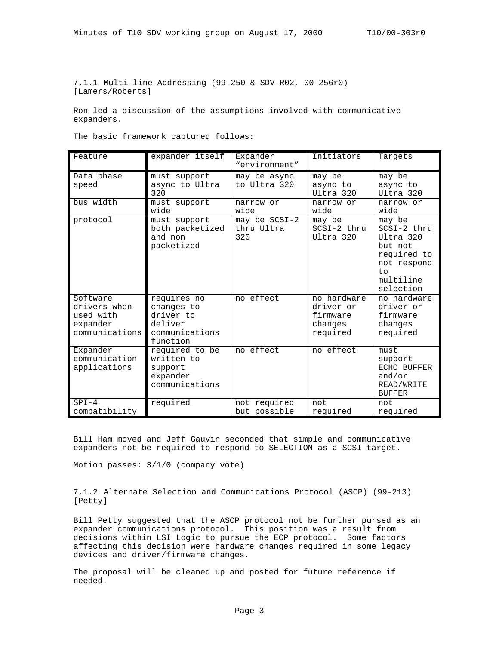7.1.1 Multi-line Addressing (99-250 & SDV-R02, 00-256r0) [Lamers/Roberts]

Ron led a discussion of the assumptions involved with communicative expanders.

The basic framework captured follows:

| Feature                                                             | expander itself                                                                 | Expander<br>"environment"          | Initiators                                                  | Targets                                                                                                     |
|---------------------------------------------------------------------|---------------------------------------------------------------------------------|------------------------------------|-------------------------------------------------------------|-------------------------------------------------------------------------------------------------------------|
| Data phase<br>speed                                                 | must support<br>async to Ultra<br>320                                           | may be async<br>to Ultra 320       | may be<br>async to<br>Ultra 320                             | may be<br>async to<br>Ultra 320                                                                             |
| bus width                                                           | must support<br>wide                                                            | narrow or<br>wide                  | narrow or<br>wide                                           | narrow or<br>wide                                                                                           |
| protocol                                                            | must support<br>both packetized<br>and non<br>packetized                        | may be SCSI-2<br>thru Ultra<br>320 | may be<br>SCSI-2 thru<br>Ultra 320                          | may be<br>SCSI-2 thru<br>Ultra 320<br>but not<br>required to<br>not respond<br>to<br>multiline<br>selection |
| Software<br>drivers when<br>used with<br>expander<br>communications | requires no<br>changes to<br>driver to<br>deliver<br>communications<br>function | no effect                          | no hardware<br>driver or<br>firmware<br>changes<br>required | no hardware<br>driver or<br>firmware<br>changes<br>required                                                 |
| Expander<br>communication<br>applications                           | required to be<br>written to<br>support<br>expander<br>communications           | no effect                          | no effect                                                   | must<br>support<br>ECHO BUFFER<br>and/or<br>READ/WRITE<br><b>BUFFER</b>                                     |
| $SPI-4$<br>compatibility                                            | required                                                                        | not required<br>but possible       | not<br>required                                             | not<br>required                                                                                             |

Bill Ham moved and Jeff Gauvin seconded that simple and communicative expanders not be required to respond to SELECTION as a SCSI target.

Motion passes: 3/1/0 (company vote)

7.1.2 Alternate Selection and Communications Protocol (ASCP) (99-213) [Petty]

Bill Petty suggested that the ASCP protocol not be further pursed as an expander communications protocol. This position was a result from decisions within LSI Logic to pursue the ECP protocol. Some factors affecting this decision were hardware changes required in some legacy devices and driver/firmware changes.

The proposal will be cleaned up and posted for future reference if needed.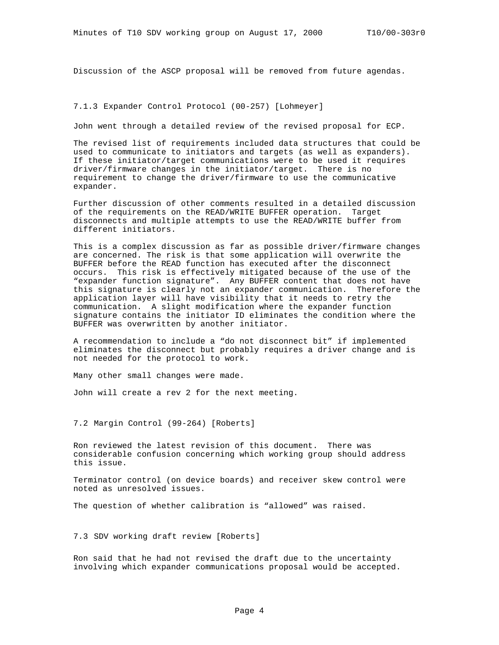Discussion of the ASCP proposal will be removed from future agendas.

## 7.1.3 Expander Control Protocol (00-257) [Lohmeyer]

John went through a detailed review of the revised proposal for ECP.

The revised list of requirements included data structures that could be used to communicate to initiators and targets (as well as expanders). If these initiator/target communications were to be used it requires driver/firmware changes in the initiator/target. There is no requirement to change the driver/firmware to use the communicative expander.

Further discussion of other comments resulted in a detailed discussion of the requirements on the READ/WRITE BUFFER operation. Target disconnects and multiple attempts to use the READ/WRITE buffer from different initiators.

This is a complex discussion as far as possible driver/firmware changes are concerned. The risk is that some application will overwrite the BUFFER before the READ function has executed after the disconnect occurs. This risk is effectively mitigated because of the use of the "expander function signature". Any BUFFER content that does not have this signature is clearly not an expander communication. Therefore the application layer will have visibility that it needs to retry the communication. A slight modification where the expander function signature contains the initiator ID eliminates the condition where the BUFFER was overwritten by another initiator.

A recommendation to include a "do not disconnect bit" if implemented eliminates the disconnect but probably requires a driver change and is not needed for the protocol to work.

Many other small changes were made.

John will create a rev 2 for the next meeting.

7.2 Margin Control (99-264) [Roberts]

Ron reviewed the latest revision of this document. There was considerable confusion concerning which working group should address this issue.

Terminator control (on device boards) and receiver skew control were noted as unresolved issues.

The question of whether calibration is "allowed" was raised.

7.3 SDV working draft review [Roberts]

Ron said that he had not revised the draft due to the uncertainty involving which expander communications proposal would be accepted.